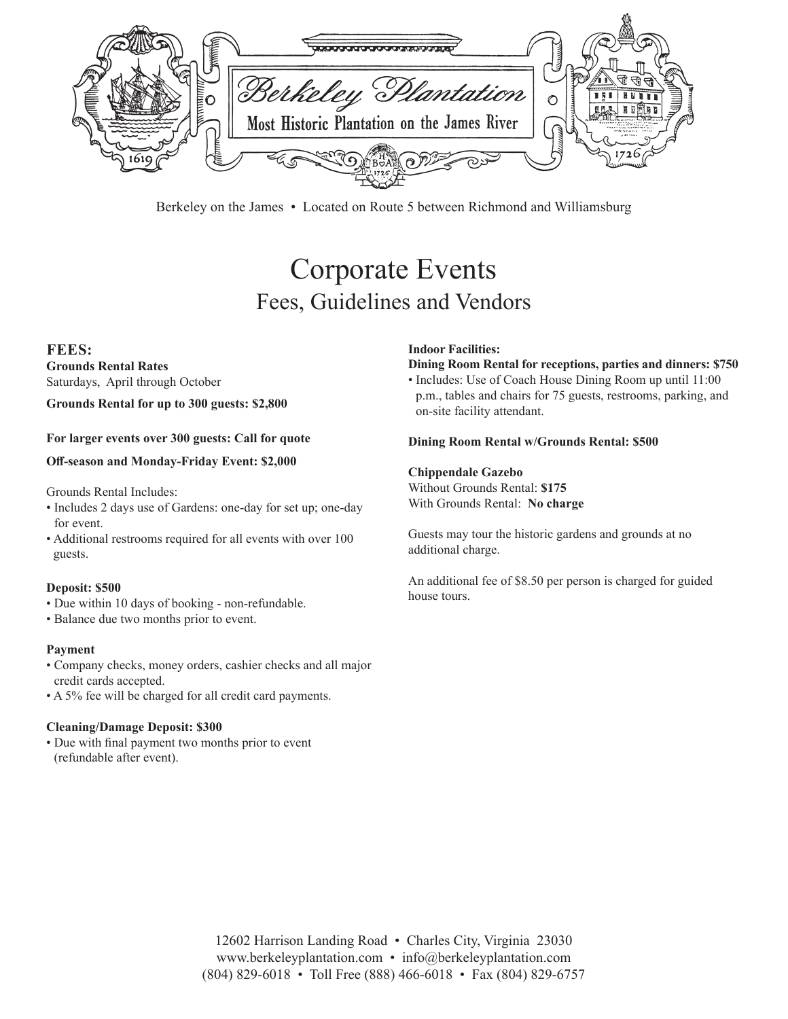

Berkeley on the James • Located on Route 5 between Richmond and Williamsburg

# Corporate Events Fees, Guidelines and Vendors

## **FEES:**

**Grounds Rental Rates** Saturdays, April through October

#### **Grounds Rental for up to 300 guests: \$2,800**

**For larger events over 300 guests: Call for quote**

#### **Off-season and Monday-Friday Event: \$2,000**

Grounds Rental Includes:

- Includes 2 days use of Gardens: one-day for set up; one-day for event.
- Additional restrooms required for all events with over 100 guests.

#### **Deposit: \$500**

- Due within 10 days of booking non-refundable.
- Balance due two months prior to event.

#### **Payment**

- Company checks, money orders, cashier checks and all major credit cards accepted.
- A 5% fee will be charged for all credit card payments.

#### **Cleaning/Damage Deposit: \$300**

• Due with final payment two months prior to event (refundable after event).

#### **Indoor Facilities:**

## **Dining Room Rental for receptions, parties and dinners: \$750**

• Includes: Use of Coach House Dining Room up until 11:00 p.m., tables and chairs for 75 guests, restrooms, parking, and on-site facility attendant.

#### **Dining Room Rental w/Grounds Rental: \$500**

#### **Chippendale Gazebo**

Without Grounds Rental: **\$175**  With Grounds Rental: **No charge**

Guests may tour the historic gardens and grounds at no additional charge.

An additional fee of \$8.50 per person is charged for guided house tours.